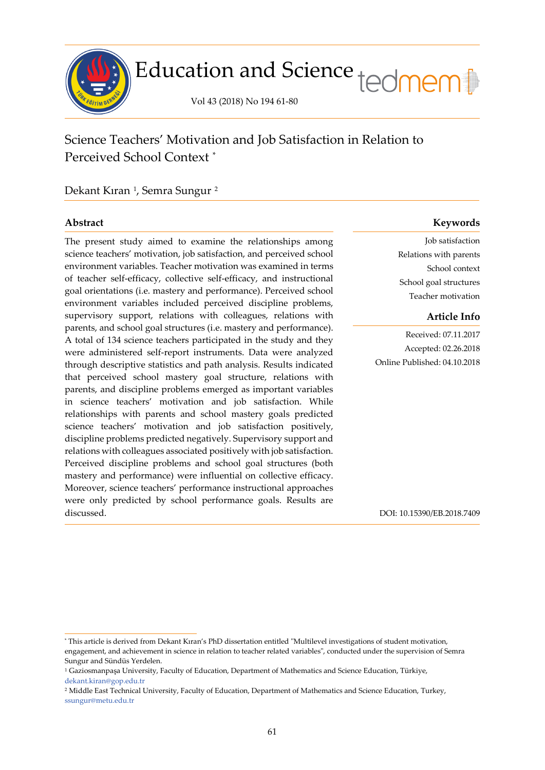

Science Teachers' Motivation and Job Satisfaction in Relation to Perceived School Context [\\*](#page-0-0)

Dekant Kıran <sup>[1](#page-0-1)</sup>, Semra Sungur <sup>[2](#page-0-2)</sup>

j

The present study aimed to examine the relationships among science teachers' motivation, job satisfaction, and perceived school environment variables. Teacher motivation was examined in terms of teacher self-efficacy, collective self-efficacy, and instructional goal orientations (i.e. mastery and performance). Perceived school environment variables included perceived discipline problems, supervisory support, relations with colleagues, relations with parents, and school goal structures (i.e. mastery and performance). A total of 134 science teachers participated in the study and they were administered self-report instruments. Data were analyzed through descriptive statistics and path analysis. Results indicated that perceived school mastery goal structure, relations with parents, and discipline problems emerged as important variables in science teachers' motivation and job satisfaction. While relationships with parents and school mastery goals predicted science teachers' motivation and job satisfaction positively, discipline problems predicted negatively. Supervisory support and relations with colleagues associated positively with job satisfaction. Perceived discipline problems and school goal structures (both mastery and performance) were influential on collective efficacy. Moreover, science teachers' performance instructional approaches were only predicted by school performance goals. Results are discussed.

# **Abstract Keywords**

Job satisfaction Relations with parents School context School goal structures Teacher motivation

# **Article Info**

Received: 07.11.2017 Accepted: 02.26.2018 Online Published: 04.10.2018

DOI: 10.15390/EB.2018.7409

<span id="page-0-0"></span><sup>\*</sup> This article is derived from Dekant Kıran's PhD dissertation entitled "Multilevel investigations of student motivation, engagement, and achievement in science in relation to teacher related variables", conducted under the supervision of Semra Sungur and Sündüs Yerdelen.

<span id="page-0-1"></span><sup>1</sup> Gaziosmanpaşa University, Faculty of Education, Department of Mathematics and Science Education, Türkiye, [dekant.kiran@gop.edu.tr](mailto:dekant.kiran@gop.edu.tr)

<span id="page-0-2"></span><sup>&</sup>lt;sup>2</sup> Middle East Technical University, Faculty of Education, Department of Mathematics and Science Education, Turkey, [ssungur@metu.edu.tr](mailto:ssungur@metu.edu.tr)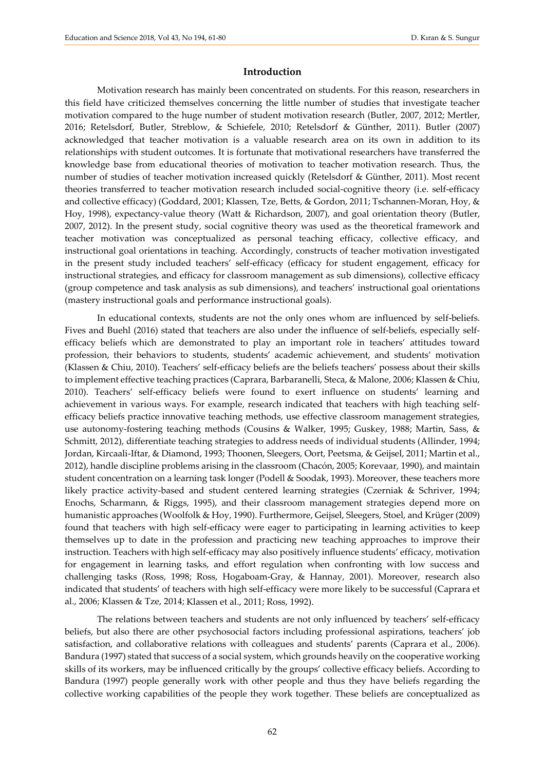## **Introduction**

Motivation research has mainly been concentrated on students. For this reason, researchers in this field have criticized themselves concerning the little number of studies that investigate teacher motivation compared to the huge number of student motivation research (Butler, 2007, 2012; Mertler, 2016; Retelsdorf, Butler, Streblow, & Schiefele, 2010; Retelsdorf & Günther, 2011). Butler (2007) acknowledged that teacher motivation is a valuable research area on its own in addition to its relationships with student outcomes. It is fortunate that motivational researchers have transferred the knowledge base from educational theories of motivation to teacher motivation research. Thus, the number of studies of teacher motivation increased quickly (Retelsdorf & Günther, 2011). Most recent theories transferred to teacher motivation research included social-cognitive theory (i.e. self-efficacy and collective efficacy) (Goddard, 2001; Klassen, Tze, Betts, & Gordon, 2011; Tschannen-Moran, Hoy, & Hoy, 1998), expectancy-value theory (Watt & Richardson, 2007), and goal orientation theory (Butler, 2007, 2012). In the present study, social cognitive theory was used as the theoretical framework and teacher motivation was conceptualized as personal teaching efficacy, collective efficacy, and instructional goal orientations in teaching. Accordingly, constructs of teacher motivation investigated in the present study included teachers' self-efficacy (efficacy for student engagement, efficacy for instructional strategies, and efficacy for classroom management as sub dimensions), collective efficacy (group competence and task analysis as sub dimensions), and teachers' instructional goal orientations (mastery instructional goals and performance instructional goals).

In educational contexts, students are not the only ones whom are influenced by self-beliefs. Fives and Buehl (2016) stated that teachers are also under the influence of self-beliefs, especially selfefficacy beliefs which are demonstrated to play an important role in teachers' attitudes toward profession, their behaviors to students, students' academic achievement, and students' motivation (Klassen & Chiu, 2010). Teachers' self-efficacy beliefs are the beliefs teachers' possess about their skills to implement effective teaching practices (Caprara, Barbaranelli, Steca, & Malone, 2006; Klassen & Chiu, 2010). Teachers' self-efficacy beliefs were found to exert influence on students' learning and achievement in various ways. For example, research indicated that teachers with high teaching selfefficacy beliefs practice innovative teaching methods, use effective classroom management strategies, use autonomy-fostering teaching methods (Cousins & Walker, 1995; Guskey, 1988; Martin, Sass, & Schmitt, 2012), differentiate teaching strategies to address needs of individual students (Allinder, 1994; Jordan, Kircaali-Iftar, & Diamond, 1993; Thoonen, Sleegers, Oort, Peetsma, & Geijsel, 2011; Martin et al., 2012), handle discipline problems arising in the classroom (Chacón, 2005; Korevaar, 1990), and maintain student concentration on a learning task longer (Podell & Soodak, 1993). Moreover, these teachers more likely practice activity-based and student centered learning strategies (Czerniak & Schriver, 1994; Enochs, Scharmann, & Riggs, 1995), and their classroom management strategies depend more on humanistic approaches (Woolfolk & Hoy, 1990). Furthermore, Geijsel, Sleegers, Stoel, and Krüger (2009) found that teachers with high self-efficacy were eager to participating in learning activities to keep themselves up to date in the profession and practicing new teaching approaches to improve their instruction. Teachers with high self-efficacy may also positively influence students' efficacy, motivation for engagement in learning tasks, and effort regulation when confronting with low success and challenging tasks (Ross, 1998; Ross, Hogaboam-Gray, & Hannay, 2001). Moreover, research also indicated that students' of teachers with high self-efficacy were more likely to be successful (Caprara et al., 2006; Klassen & Tze, 2014; Klassen et al., 2011; Ross, 1992).

The relations between teachers and students are not only influenced by teachers' self-efficacy beliefs, but also there are other psychosocial factors including professional aspirations, teachers' job satisfaction, and collaborative relations with colleagues and students' parents (Caprara et al., 2006). Bandura (1997) stated that success of a social system, which grounds heavily on the cooperative working skills of its workers, may be influenced critically by the groups' collective efficacy beliefs. According to Bandura (1997) people generally work with other people and thus they have beliefs regarding the collective working capabilities of the people they work together. These beliefs are conceptualized as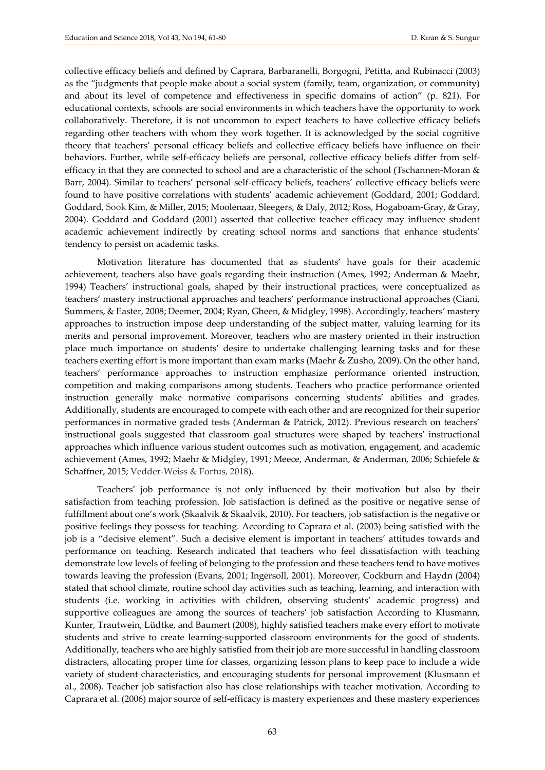collective efficacy beliefs and defined by Caprara, Barbaranelli, Borgogni, Petitta, and Rubinacci (2003) as the "judgments that people make about a social system (family, team, organization, or community) and about its level of competence and effectiveness in specific domains of action" (p. 821). For educational contexts, schools are social environments in which teachers have the opportunity to work collaboratively. Therefore, it is not uncommon to expect teachers to have collective efficacy beliefs regarding other teachers with whom they work together. It is acknowledged by the social cognitive theory that teachers' personal efficacy beliefs and collective efficacy beliefs have influence on their behaviors. Further, while self-efficacy beliefs are personal, collective efficacy beliefs differ from selfefficacy in that they are connected to school and are a characteristic of the school (Tschannen-Moran & Barr, 2004). Similar to teachers' personal self-efficacy beliefs, teachers' collective efficacy beliefs were found to have positive correlations with students' academic achievement (Goddard, 2001; Goddard, Goddard, Sook Kim, & Miller, 2015; Moolenaar, Sleegers, & Daly, 2012; Ross, Hogaboam-Gray, & Gray, 2004). Goddard and Goddard (2001) asserted that collective teacher efficacy may influence student academic achievement indirectly by creating school norms and sanctions that enhance students' tendency to persist on academic tasks.

Motivation literature has documented that as students' have goals for their academic achievement, teachers also have goals regarding their instruction (Ames, 1992; Anderman & Maehr, 1994) Teachers' instructional goals, shaped by their instructional practices, were conceptualized as teachers' mastery instructional approaches and teachers' performance instructional approaches (Ciani, Summers, & Easter, 2008; Deemer, 2004; Ryan, Gheen, & Midgley, 1998). Accordingly, teachers' mastery approaches to instruction impose deep understanding of the subject matter, valuing learning for its merits and personal improvement. Moreover, teachers who are mastery oriented in their instruction place much importance on students' desire to undertake challenging learning tasks and for these teachers exerting effort is more important than exam marks (Maehr & Zusho, 2009). On the other hand, teachers' performance approaches to instruction emphasize performance oriented instruction, competition and making comparisons among students. Teachers who practice performance oriented instruction generally make normative comparisons concerning students' abilities and grades. Additionally, students are encouraged to compete with each other and are recognized for their superior performances in normative graded tests (Anderman & Patrick, 2012). Previous research on teachers' instructional goals suggested that classroom goal structures were shaped by teachers' instructional approaches which influence various student outcomes such as motivation, engagement, and academic achievement (Ames, 1992; Maehr & Midgley, 1991; Meece, Anderman, & Anderman, 2006; Schiefele & Schaffner, 2015; Vedder-Weiss & Fortus, 2018).

Teachers' job performance is not only influenced by their motivation but also by their satisfaction from teaching profession. Job satisfaction is defined as the positive or negative sense of fulfillment about one's work (Skaalvik & Skaalvik, 2010). For teachers, job satisfaction is the negative or positive feelings they possess for teaching. According to Caprara et al. (2003) being satisfied with the job is a "decisive element". Such a decisive element is important in teachers' attitudes towards and performance on teaching. Research indicated that teachers who feel dissatisfaction with teaching demonstrate low levels of feeling of belonging to the profession and these teachers tend to have motives towards leaving the profession (Evans, 2001; Ingersoll, 2001). Moreover, Cockburn and Haydn (2004) stated that school climate, routine school day activities such as teaching, learning, and interaction with students (i.e. working in activities with children, observing students' academic progress) and supportive colleagues are among the sources of teachers' job satisfaction According to Klusmann, Kunter, Trautwein, Lüdtke, and Baumert (2008), highly satisfied teachers make every effort to motivate students and strive to create learning-supported classroom environments for the good of students. Additionally, teachers who are highly satisfied from their job are more successful in handling classroom distracters, allocating proper time for classes, organizing lesson plans to keep pace to include a wide variety of student characteristics, and encouraging students for personal improvement (Klusmann et al., 2008). Teacher job satisfaction also has close relationships with teacher motivation. According to Caprara et al. (2006) major source of self-efficacy is mastery experiences and these mastery experiences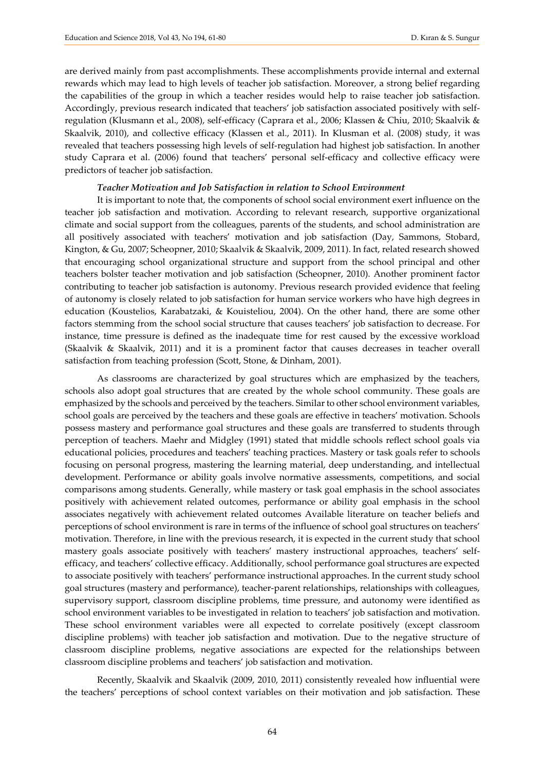are derived mainly from past accomplishments. These accomplishments provide internal and external rewards which may lead to high levels of teacher job satisfaction. Moreover, a strong belief regarding the capabilities of the group in which a teacher resides would help to raise teacher job satisfaction. Accordingly, previous research indicated that teachers' job satisfaction associated positively with selfregulation (Klusmann et al., 2008), self-efficacy (Caprara et al., 2006; Klassen & Chiu, 2010; Skaalvik & Skaalvik, 2010), and collective efficacy (Klassen et al., 2011). In Klusman et al. (2008) study, it was revealed that teachers possessing high levels of self-regulation had highest job satisfaction. In another study Caprara et al. (2006) found that teachers' personal self-efficacy and collective efficacy were predictors of teacher job satisfaction.

## *Teacher Motivation and Job Satisfaction in relation to School Environment*

It is important to note that, the components of school social environment exert influence on the teacher job satisfaction and motivation. According to relevant research, supportive organizational climate and social support from the colleagues, parents of the students, and school administration are all positively associated with teachers' motivation and job satisfaction (Day, Sammons, Stobard, Kington, & Gu, 2007; Scheopner, 2010; Skaalvik & Skaalvik, 2009, 2011). In fact, related research showed that encouraging school organizational structure and support from the school principal and other teachers bolster teacher motivation and job satisfaction (Scheopner, 2010). Another prominent factor contributing to teacher job satisfaction is autonomy. Previous research provided evidence that feeling of autonomy is closely related to job satisfaction for human service workers who have high degrees in education (Koustelios, Karabatzaki, & Kouisteliou, 2004). On the other hand, there are some other factors stemming from the school social structure that causes teachers' job satisfaction to decrease. For instance, time pressure is defined as the inadequate time for rest caused by the excessive workload (Skaalvik & Skaalvik, 2011) and it is a prominent factor that causes decreases in teacher overall satisfaction from teaching profession (Scott, Stone, & Dinham, 2001).

As classrooms are characterized by goal structures which are emphasized by the teachers, schools also adopt goal structures that are created by the whole school community. These goals are emphasized by the schools and perceived by the teachers. Similar to other school environment variables, school goals are perceived by the teachers and these goals are effective in teachers' motivation. Schools possess mastery and performance goal structures and these goals are transferred to students through perception of teachers. Maehr and Midgley (1991) stated that middle schools reflect school goals via educational policies, procedures and teachers' teaching practices. Mastery or task goals refer to schools focusing on personal progress, mastering the learning material, deep understanding, and intellectual development. Performance or ability goals involve normative assessments, competitions, and social comparisons among students. Generally, while mastery or task goal emphasis in the school associates positively with achievement related outcomes, performance or ability goal emphasis in the school associates negatively with achievement related outcomes Available literature on teacher beliefs and perceptions of school environment is rare in terms of the influence of school goal structures on teachers' motivation. Therefore, in line with the previous research, it is expected in the current study that school mastery goals associate positively with teachers' mastery instructional approaches, teachers' selfefficacy, and teachers' collective efficacy. Additionally, school performance goal structures are expected to associate positively with teachers' performance instructional approaches. In the current study school goal structures (mastery and performance), teacher-parent relationships, relationships with colleagues, supervisory support, classroom discipline problems, time pressure, and autonomy were identified as school environment variables to be investigated in relation to teachers' job satisfaction and motivation. These school environment variables were all expected to correlate positively (except classroom discipline problems) with teacher job satisfaction and motivation. Due to the negative structure of classroom discipline problems, negative associations are expected for the relationships between classroom discipline problems and teachers' job satisfaction and motivation.

Recently, Skaalvik and Skaalvik (2009, 2010, 2011) consistently revealed how influential were the teachers' perceptions of school context variables on their motivation and job satisfaction. These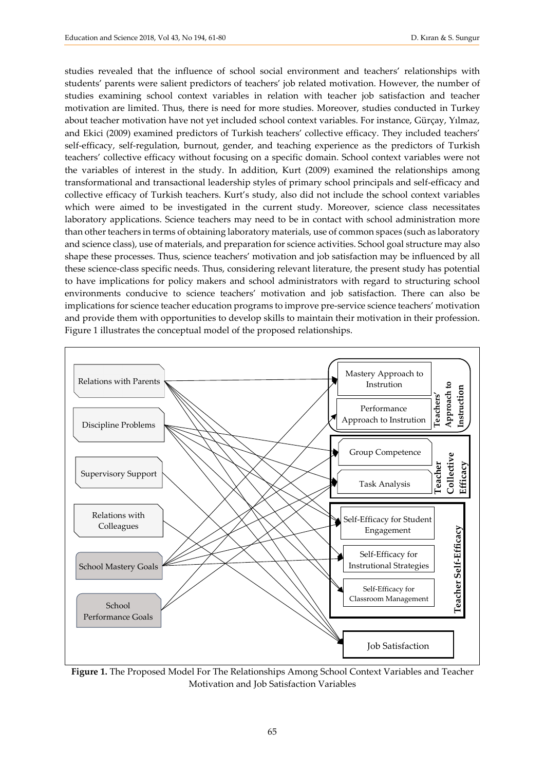studies revealed that the influence of school social environment and teachers' relationships with students' parents were salient predictors of teachers' job related motivation. However, the number of studies examining school context variables in relation with teacher job satisfaction and teacher motivation are limited. Thus, there is need for more studies. Moreover, studies conducted in Turkey about teacher motivation have not yet included school context variables. For instance, Gürçay, Yılmaz, and Ekici (2009) examined predictors of Turkish teachers' collective efficacy. They included teachers' self-efficacy, self-regulation, burnout, gender, and teaching experience as the predictors of Turkish teachers' collective efficacy without focusing on a specific domain. School context variables were not the variables of interest in the study. In addition, Kurt (2009) examined the relationships among transformational and transactional leadership styles of primary school principals and self-efficacy and collective efficacy of Turkish teachers. Kurt's study, also did not include the school context variables which were aimed to be investigated in the current study. Moreover, science class necessitates laboratory applications. Science teachers may need to be in contact with school administration more than other teachers in terms of obtaining laboratory materials, use of common spaces (such as laboratory and science class), use of materials, and preparation for science activities. School goal structure may also shape these processes. Thus, science teachers' motivation and job satisfaction may be influenced by all these science-class specific needs. Thus, considering relevant literature, the present study has potential to have implications for policy makers and school administrators with regard to structuring school environments conducive to science teachers' motivation and job satisfaction. There can also be implications for science teacher education programs to improve pre-service science teachers' motivation and provide them with opportunities to develop skills to maintain their motivation in their profession. Figure 1 illustrates the conceptual model of the proposed relationships.



**Figure 1.** The Proposed Model For The Relationships Among School Context Variables and Teacher Motivation and Job Satisfaction Variables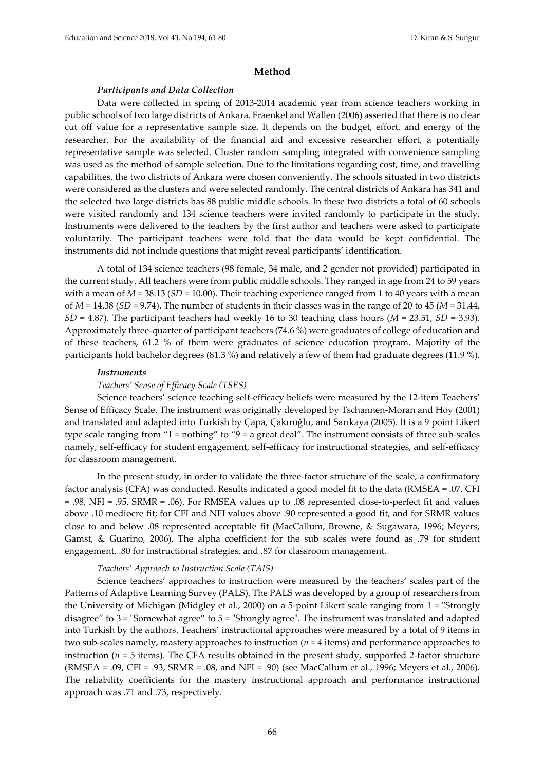## **Method**

## *Participants and Data Collection*

Data were collected in spring of 2013-2014 academic year from science teachers working in public schools of two large districts of Ankara. Fraenkel and Wallen (2006) asserted that there is no clear cut off value for a representative sample size. It depends on the budget, effort, and energy of the researcher. For the availability of the financial aid and excessive researcher effort, a potentially representative sample was selected. Cluster random sampling integrated with convenience sampling was used as the method of sample selection. Due to the limitations regarding cost, time, and travelling capabilities, the two districts of Ankara were chosen conveniently. The schools situated in two districts were considered as the clusters and were selected randomly. The central districts of Ankara has 341 and the selected two large districts has 88 public middle schools. In these two districts a total of 60 schools were visited randomly and 134 science teachers were invited randomly to participate in the study. Instruments were delivered to the teachers by the first author and teachers were asked to participate voluntarily. The participant teachers were told that the data would be kept confidential. The instruments did not include questions that might reveal participants' identification.

A total of 134 science teachers (98 female, 34 male, and 2 gender not provided) participated in the current study. All teachers were from public middle schools. They ranged in age from 24 to 59 years with a mean of  $M = 38.13$  ( $SD = 10.00$ ). Their teaching experience ranged from 1 to 40 years with a mean of *M* = 14.38 (*SD* = 9.74). The number of students in their classes was in the range of 20 to 45 (*M* = 31.44,  $SD = 4.87$ . The participant teachers had weekly 16 to 30 teaching class hours ( $M = 23.51$ ,  $SD = 3.93$ ). Approximately three-quarter of participant teachers (74.6 %) were graduates of college of education and of these teachers, 61.2 % of them were graduates of science education program. Majority of the participants hold bachelor degrees (81.3 %) and relatively a few of them had graduate degrees (11.9 %).

#### *Instruments*

## *Teachers' Sense of Efficacy Scale (TSES)*

Science teachers' science teaching self-efficacy beliefs were measured by the 12-item Teachers' Sense of Efficacy Scale. The instrument was originally developed by Tschannen-Moran and Hoy (2001) and translated and adapted into Turkish by Çapa, Çakıroğlu, and Sarıkaya (2005). It is a 9 point Likert type scale ranging from "1 = nothing" to "9 = a great deal". The instrument consists of three sub-scales namely, self-efficacy for student engagement, self-efficacy for instructional strategies, and self-efficacy for classroom management.

In the present study, in order to validate the three-factor structure of the scale, a confirmatory factor analysis (CFA) was conducted. Results indicated a good model fit to the data (RMSEA = .07, CFI = .98, NFI = .95, SRMR = .06). For RMSEA values up to .08 represented close-to-perfect fit and values above .10 mediocre fit; for CFI and NFI values above .90 represented a good fit, and for SRMR values close to and below .08 represented acceptable fit (MacCallum, Browne, & Sugawara, 1996; Meyers, Gamst, & Guarino, 2006). The alpha coefficient for the sub scales were found as .79 for student engagement, .80 for instructional strategies, and .87 for classroom management.

### *Teachers' Approach to Instruction Scale (TAIS)*

Science teachers' approaches to instruction were measured by the teachers' scales part of the Patterns of Adaptive Learning Survey (PALS). The PALS was developed by a group of researchers from the University of Michigan (Midgley et al., 2000) on a 5-point Likert scale ranging from 1 = "Strongly disagree" to 3 = "Somewhat agree" to 5 = "Strongly agree". The instrument was translated and adapted into Turkish by the authors. Teachers' instructional approaches were measured by a total of 9 items in two sub-scales namely, mastery approaches to instruction (*n* = 4 items) and performance approaches to instruction ( $n = 5$  items). The CFA results obtained in the present study, supported 2-factor structure (RMSEA = .09, CFI = .93, SRMR = .08, and NFI = .90) (see MacCallum et al., 1996; Meyers et al., 2006). The reliability coefficients for the mastery instructional approach and performance instructional approach was .71 and .73, respectively.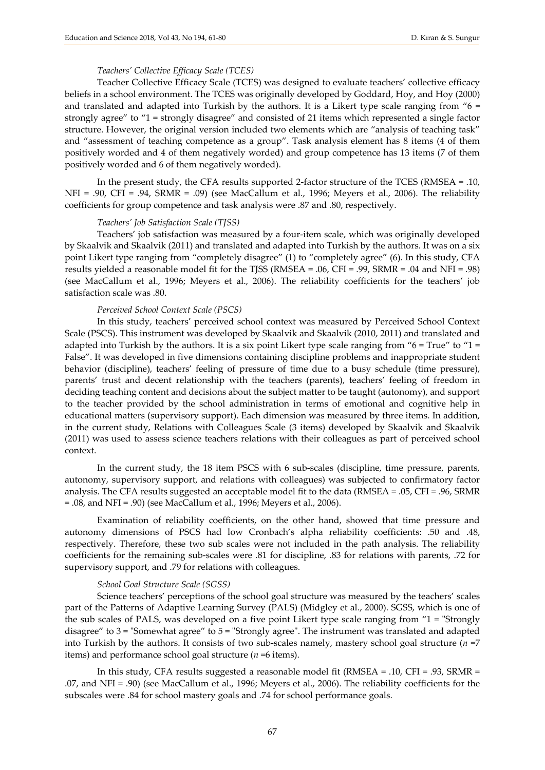## *Teachers' Collective Efficacy Scale (TCES)*

Teacher Collective Efficacy Scale (TCES) was designed to evaluate teachers' collective efficacy beliefs in a school environment. The TCES was originally developed by Goddard, Hoy, and Hoy (2000) and translated and adapted into Turkish by the authors. It is a Likert type scale ranging from  $0.6 =$ strongly agree" to "1 = strongly disagree" and consisted of 21 items which represented a single factor structure. However, the original version included two elements which are "analysis of teaching task" and "assessment of teaching competence as a group". Task analysis element has 8 items (4 of them positively worded and 4 of them negatively worded) and group competence has 13 items (7 of them positively worded and 6 of them negatively worded).

In the present study, the CFA results supported 2-factor structure of the TCES (RMSEA = .10, NFI = .90, CFI = .94, SRMR = .09) (see MacCallum et al., 1996; Meyers et al., 2006). The reliability coefficients for group competence and task analysis were .87 and .80, respectively.

## *Teachers' Job Satisfaction Scale (TJSS)*

Teachers' job satisfaction was measured by a four-item scale, which was originally developed by Skaalvik and Skaalvik (2011) and translated and adapted into Turkish by the authors. It was on a six point Likert type ranging from "completely disagree" (1) to "completely agree" (6). In this study, CFA results yielded a reasonable model fit for the TJSS (RMSEA = .06, CFI = .99, SRMR = .04 and NFI = .98) (see MacCallum et al., 1996; Meyers et al., 2006). The reliability coefficients for the teachers' job satisfaction scale was .80.

## *Perceived School Context Scale (PSCS)*

In this study, teachers' perceived school context was measured by Perceived School Context Scale (PSCS). This instrument was developed by Skaalvik and Skaalvik (2010, 2011) and translated and adapted into Turkish by the authors. It is a six point Likert type scale ranging from " $6 = True$ " to "1 = False". It was developed in five dimensions containing discipline problems and inappropriate student behavior (discipline), teachers' feeling of pressure of time due to a busy schedule (time pressure), parents' trust and decent relationship with the teachers (parents), teachers' feeling of freedom in deciding teaching content and decisions about the subject matter to be taught (autonomy), and support to the teacher provided by the school administration in terms of emotional and cognitive help in educational matters (supervisory support). Each dimension was measured by three items. In addition, in the current study, Relations with Colleagues Scale (3 items) developed by Skaalvik and Skaalvik (2011) was used to assess science teachers relations with their colleagues as part of perceived school context.

In the current study, the 18 item PSCS with 6 sub-scales (discipline, time pressure, parents, autonomy, supervisory support, and relations with colleagues) was subjected to confirmatory factor analysis. The CFA results suggested an acceptable model fit to the data (RMSEA = .05, CFI = .96, SRMR = .08, and NFI = .90) (see MacCallum et al., 1996; Meyers et al., 2006).

Examination of reliability coefficients, on the other hand, showed that time pressure and autonomy dimensions of PSCS had low Cronbach's alpha reliability coefficients: .50 and .48, respectively. Therefore, these two sub scales were not included in the path analysis. The reliability coefficients for the remaining sub-scales were .81 for discipline, .83 for relations with parents, .72 for supervisory support, and .79 for relations with colleagues.

#### *School Goal Structure Scale (SGSS)*

Science teachers' perceptions of the school goal structure was measured by the teachers' scales part of the Patterns of Adaptive Learning Survey (PALS) (Midgley et al., 2000). SGSS, which is one of the sub scales of PALS, was developed on a five point Likert type scale ranging from "1 = "Strongly disagree" to 3 = "Somewhat agree" to 5 = "Strongly agree". The instrument was translated and adapted into Turkish by the authors. It consists of two sub-scales namely, mastery school goal structure  $(n = 7)$ items) and performance school goal structure (*n* =6 items).

In this study, CFA results suggested a reasonable model fit (RMSEA = .10, CFI = .93, SRMR = .07, and NFI = .90) (see MacCallum et al., 1996; Meyers et al., 2006). The reliability coefficients for the subscales were .84 for school mastery goals and .74 for school performance goals.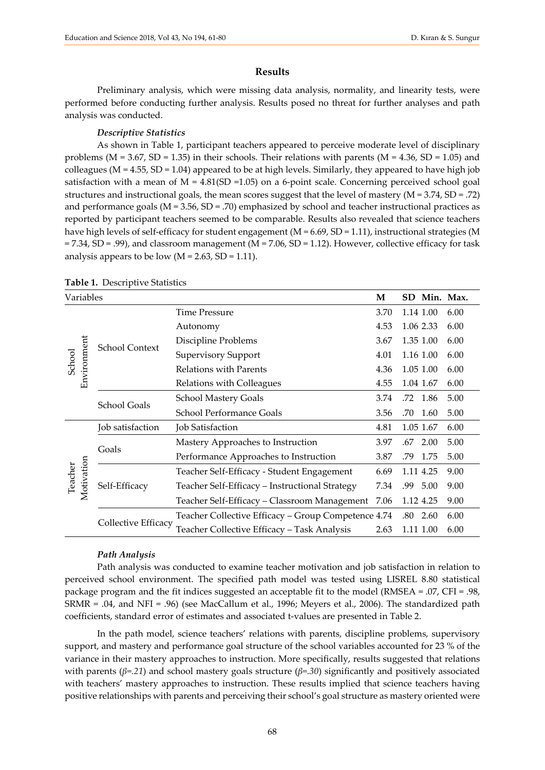## **Results**

Preliminary analysis, which were missing data analysis, normality, and linearity tests, were performed before conducting further analysis. Results posed no threat for further analyses and path analysis was conducted.

## *Descriptive Statistics*

As shown in Table 1, participant teachers appeared to perceive moderate level of disciplinary problems ( $M = 3.67$ ,  $SD = 1.35$ ) in their schools. Their relations with parents ( $M = 4.36$ ,  $SD = 1.05$ ) and colleagues ( $M = 4.55$ ,  $SD = 1.04$ ) appeared to be at high levels. Similarly, they appeared to have high job satisfaction with a mean of  $M = 4.81(SD = 1.05)$  on a 6-point scale. Concerning perceived school goal structures and instructional goals, the mean scores suggest that the level of mastery (M = 3.74, SD = .72) and performance goals  $(M = 3.56, SD = .70)$  emphasized by school and teacher instructional practices as reported by participant teachers seemed to be comparable. Results also revealed that science teachers have high levels of self-efficacy for student engagement (M = 6.69, SD = 1.11), instructional strategies (M = 7.34, SD = .99), and classroom management (M = 7.06, SD = 1.12). However, collective efficacy for task analysis appears to be low  $(M = 2.63, SD = 1.11)$ .

| Variables             |                            | M                                                   | SD Min. Max. |             |      |
|-----------------------|----------------------------|-----------------------------------------------------|--------------|-------------|------|
| Environment<br>School | <b>School Context</b>      | <b>Time Pressure</b>                                | 3.70         | 1.14 1.00   | 6.00 |
|                       |                            | Autonomy                                            | 4.53         | 1.06 2.33   | 6.00 |
|                       |                            | Discipline Problems                                 | 3.67         | 1.35 1.00   | 6.00 |
|                       |                            | <b>Supervisory Support</b>                          | 4.01         | 1.16 1.00   | 6.00 |
|                       |                            | Relations with Parents                              | 4.36         | 1.05 1.00   | 6.00 |
|                       |                            | Relations with Colleagues                           | 4.55         | 1.04 1.67   | 6.00 |
|                       | School Goals               | <b>School Mastery Goals</b>                         | 3.74         | .72 1.86    | 5.00 |
|                       |                            | <b>School Performance Goals</b>                     | 3.56         | .70<br>1.60 | 5.00 |
| Motivation<br>Teacher | Job satisfaction           | Job Satisfaction                                    | 4.81         | 1.05 1.67   | 6.00 |
|                       | Goals                      | Mastery Approaches to Instruction                   | 3.97         | .67 2.00    | 5.00 |
|                       |                            | Performance Approaches to Instruction               | 3.87         | .79<br>1.75 | 5.00 |
|                       | Self-Efficacy              | Teacher Self-Efficacy - Student Engagement          | 6.69         | 1.11 4.25   | 9.00 |
|                       |                            | Teacher Self-Efficacy - Instructional Strategy      | 7.34         | .99<br>5.00 | 9.00 |
|                       |                            | Teacher Self-Efficacy - Classroom Management        | 7.06         | 1.12 4.25   | 9.00 |
|                       | <b>Collective Efficacy</b> | Teacher Collective Efficacy – Group Competence 4.74 |              | .80<br>2.60 | 6.00 |
|                       |                            | Teacher Collective Efficacy – Task Analysis         | 2.63         | 1.11 1.00   | 6.00 |

## **Table 1.** Descriptive Statistics

#### *Path Analysis*

Path analysis was conducted to examine teacher motivation and job satisfaction in relation to perceived school environment. The specified path model was tested using LISREL 8.80 statistical package program and the fit indices suggested an acceptable fit to the model (RMSEA = .07, CFI = .98, SRMR = .04, and NFI = .96) (see MacCallum et al., 1996; Meyers et al., 2006). The standardized path coefficients, standard error of estimates and associated t-values are presented in Table 2.

In the path model, science teachers' relations with parents, discipline problems, supervisory support, and mastery and performance goal structure of the school variables accounted for 23 % of the variance in their mastery approaches to instruction. More specifically, results suggested that relations with parents (*β=.21*) and school mastery goals structure (*β=.30*) significantly and positively associated with teachers' mastery approaches to instruction. These results implied that science teachers having positive relationships with parents and perceiving their school's goal structure as mastery oriented were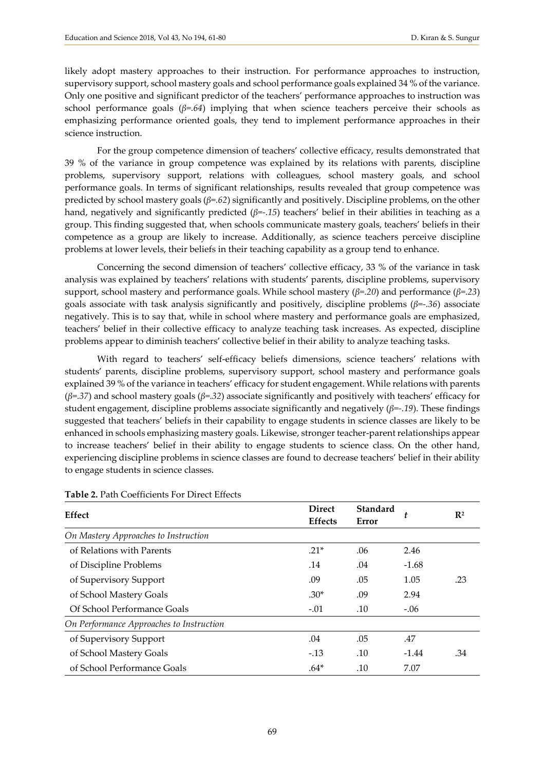likely adopt mastery approaches to their instruction. For performance approaches to instruction, supervisory support, school mastery goals and school performance goals explained 34 % of the variance. Only one positive and significant predictor of the teachers' performance approaches to instruction was school performance goals  $(\beta = .64)$  implying that when science teachers perceive their schools as emphasizing performance oriented goals, they tend to implement performance approaches in their science instruction.

For the group competence dimension of teachers' collective efficacy, results demonstrated that 39 % of the variance in group competence was explained by its relations with parents, discipline problems, supervisory support, relations with colleagues, school mastery goals, and school performance goals. In terms of significant relationships, results revealed that group competence was predicted by school mastery goals (*β=.62*) significantly and positively. Discipline problems, on the other hand, negatively and significantly predicted (*β=-.15*) teachers' belief in their abilities in teaching as a group. This finding suggested that, when schools communicate mastery goals, teachers' beliefs in their competence as a group are likely to increase. Additionally, as science teachers perceive discipline problems at lower levels, their beliefs in their teaching capability as a group tend to enhance.

Concerning the second dimension of teachers' collective efficacy, 33 % of the variance in task analysis was explained by teachers' relations with students' parents, discipline problems, supervisory support, school mastery and performance goals. While school mastery (*β=.20*) and performance (*β=.23*) goals associate with task analysis significantly and positively, discipline problems (*β=-.36*) associate negatively. This is to say that, while in school where mastery and performance goals are emphasized, teachers' belief in their collective efficacy to analyze teaching task increases. As expected, discipline problems appear to diminish teachers' collective belief in their ability to analyze teaching tasks.

With regard to teachers' self-efficacy beliefs dimensions, science teachers' relations with students' parents, discipline problems, supervisory support, school mastery and performance goals explained 39 % of the variance in teachers' efficacy for student engagement. While relations with parents (*β=.37*) and school mastery goals (*β=.32*) associate significantly and positively with teachers' efficacy for student engagement, discipline problems associate significantly and negatively (*β=-.19*). These findings suggested that teachers' beliefs in their capability to engage students in science classes are likely to be enhanced in schools emphasizing mastery goals. Likewise, stronger teacher-parent relationships appear to increase teachers' belief in their ability to engage students to science class. On the other hand, experiencing discipline problems in science classes are found to decrease teachers' belief in their ability to engage students in science classes.

| <b>Effect</b>                            | <b>Direct</b><br><b>Effects</b> | Standard<br>Error | t       | $\mathbb{R}^2$ |
|------------------------------------------|---------------------------------|-------------------|---------|----------------|
| On Mastery Approaches to Instruction     |                                 |                   |         |                |
| of Relations with Parents                | $.21*$                          | .06               | 2.46    |                |
| of Discipline Problems                   | .14                             | .04               | $-1.68$ |                |
| of Supervisory Support                   | .09                             | .05               | 1.05    | .23            |
| of School Mastery Goals                  | $.30*$                          | .09               | 2.94    |                |
| Of School Performance Goals              | $-.01$                          | .10               | $-.06$  |                |
| On Performance Approaches to Instruction |                                 |                   |         |                |
| of Supervisory Support                   | .04                             | .05               | .47     |                |
| of School Mastery Goals                  | $-.13$                          | .10               | $-1.44$ | .34            |
| of School Performance Goals              | $.64*$                          | .10               | 7.07    |                |

## **Table 2.** Path Coefficients For Direct Effects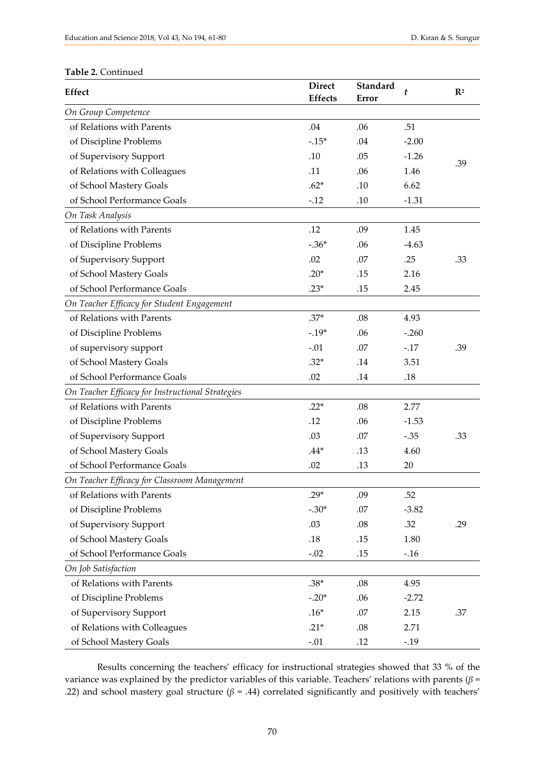# **Table 2.** Continued

| <b>Effect</b>                                    | <b>Direct</b><br><b>Effects</b> | Standard<br>Error | t       | $\mathbb{R}^2$ |
|--------------------------------------------------|---------------------------------|-------------------|---------|----------------|
| On Group Competence                              |                                 |                   |         |                |
| of Relations with Parents                        | .04                             | .06               | .51     |                |
| of Discipline Problems                           | $-.15*$                         | .04               | $-2.00$ |                |
| of Supervisory Support                           | .10                             | .05               | $-1.26$ |                |
| of Relations with Colleagues                     | .11                             | .06               | 1.46    | .39            |
| of School Mastery Goals                          | $.62*$                          | .10               | 6.62    |                |
| of School Performance Goals                      | $-.12$                          | .10               | $-1.31$ |                |
| On Task Analysis                                 |                                 |                   |         |                |
| of Relations with Parents                        | .12                             | .09               | 1.45    |                |
| of Discipline Problems                           | $-.36*$                         | .06               | $-4.63$ |                |
| of Supervisory Support                           | .02                             | .07               | .25     | .33            |
| of School Mastery Goals                          | $.20*$                          | .15               | 2.16    |                |
| of School Performance Goals                      | $.23*$                          | .15               | 2.45    |                |
| On Teacher Efficacy for Student Engagement       |                                 |                   |         |                |
| of Relations with Parents                        | $.37*$                          | .08               | 4.93    |                |
| of Discipline Problems                           | $-.19*$                         | .06               | $-.260$ |                |
| of supervisory support                           | $-.01$                          | .07               | $-.17$  | .39            |
| of School Mastery Goals                          | $.32*$                          | .14               | 3.51    |                |
| of School Performance Goals                      | .02                             | .14               | $.18$   |                |
| On Teacher Efficacy for Instructional Strategies |                                 |                   |         |                |
| of Relations with Parents                        | $.22*$                          | .08               | 2.77    |                |
| of Discipline Problems                           | .12                             | .06               | $-1.53$ |                |
| of Supervisory Support                           | .03                             | .07               | $-.35$  | .33            |
| of School Mastery Goals                          | $.44*$                          | .13               | 4.60    |                |
| of School Performance Goals                      | .02                             | .13               | 20      |                |
| On Teacher Efficacy for Classroom Management     |                                 |                   |         |                |
| of Relations with Parents                        | .29*                            | .09               | .52     |                |
| of Discipline Problems                           | $-.30*$                         | .07               | $-3.82$ |                |
| of Supervisory Support                           | .03                             | .08               | .32     | .29            |
| of School Mastery Goals                          | .18                             | .15               | 1.80    |                |
| of School Performance Goals                      | $-.02$                          | .15               | $-.16$  |                |
| On Job Satisfaction                              |                                 |                   |         |                |
| of Relations with Parents                        | $.38*$                          | .08               | 4.95    |                |
| of Discipline Problems                           | $-.20*$                         | .06               | $-2.72$ |                |
| of Supervisory Support                           | $.16*$                          | .07               | 2.15    | .37            |
| of Relations with Colleagues                     | $.21*$                          | .08               | 2.71    |                |
| of School Mastery Goals                          | $-.01$                          | .12               | $-.19$  |                |

Results concerning the teachers' efficacy for instructional strategies showed that 33 % of the variance was explained by the predictor variables of this variable. Teachers' relations with parents (*β* = .22) and school mastery goal structure ( $β = .44$ ) correlated significantly and positively with teachers'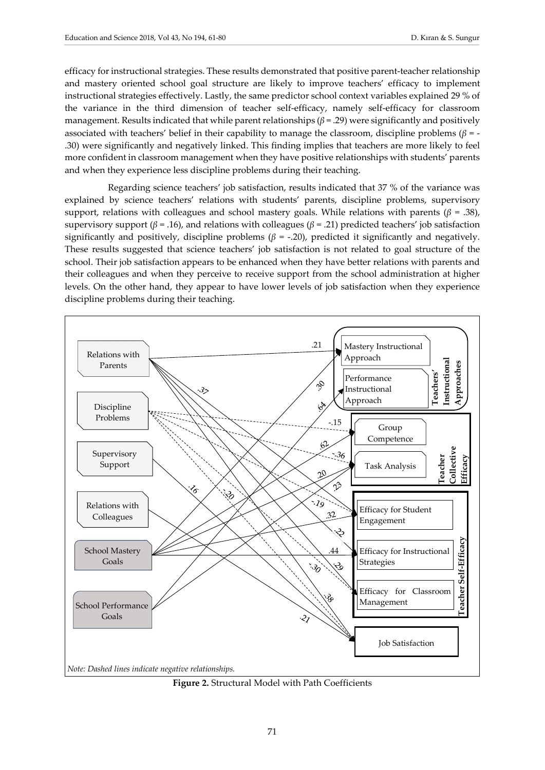efficacy for instructional strategies. These results demonstrated that positive parent-teacher relationship and mastery oriented school goal structure are likely to improve teachers' efficacy to implement instructional strategies effectively. Lastly, the same predictor school context variables explained 29 % of the variance in the third dimension of teacher self-efficacy, namely self-efficacy for classroom management. Results indicated that while parent relationships  $(\beta = .29)$  were significantly and positively associated with teachers' belief in their capability to manage the classroom, discipline problems (*β* = - .30) were significantly and negatively linked. This finding implies that teachers are more likely to feel more confident in classroom management when they have positive relationships with students' parents and when they experience less discipline problems during their teaching.

Regarding science teachers' job satisfaction, results indicated that 37 % of the variance was explained by science teachers' relations with students' parents, discipline problems, supervisory support, relations with colleagues and school mastery goals. While relations with parents ( $\beta$  = .38), supervisory support (*β* = .16), and relations with colleagues (*β* = .21) predicted teachers' job satisfaction significantly and positively, discipline problems ( $\beta$  = -.20), predicted it significantly and negatively. These results suggested that science teachers' job satisfaction is not related to goal structure of the school. Their job satisfaction appears to be enhanced when they have better relations with parents and their colleagues and when they perceive to receive support from the school administration at higher levels. On the other hand, they appear to have lower levels of job satisfaction when they experience discipline problems during their teaching.



**Figure 2.** Structural Model with Path Coefficients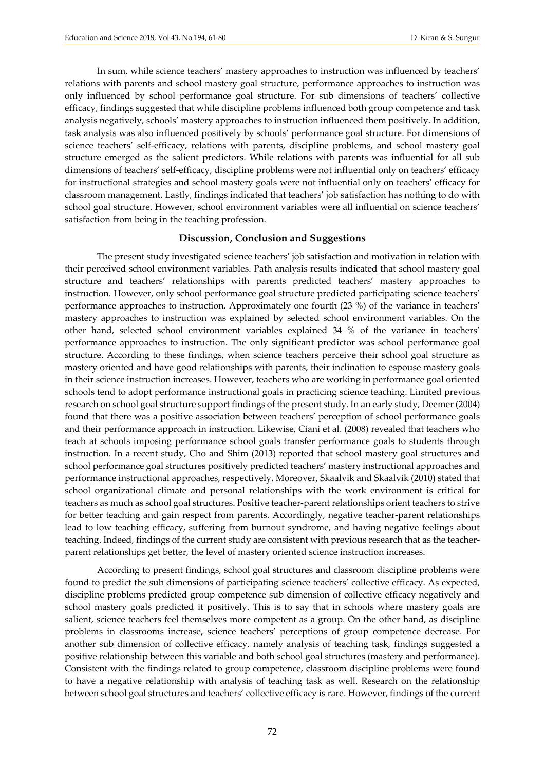In sum, while science teachers' mastery approaches to instruction was influenced by teachers' relations with parents and school mastery goal structure, performance approaches to instruction was only influenced by school performance goal structure. For sub dimensions of teachers' collective efficacy, findings suggested that while discipline problems influenced both group competence and task analysis negatively, schools' mastery approaches to instruction influenced them positively. In addition, task analysis was also influenced positively by schools' performance goal structure. For dimensions of science teachers' self-efficacy, relations with parents, discipline problems, and school mastery goal structure emerged as the salient predictors. While relations with parents was influential for all sub dimensions of teachers' self-efficacy, discipline problems were not influential only on teachers' efficacy for instructional strategies and school mastery goals were not influential only on teachers' efficacy for classroom management. Lastly, findings indicated that teachers' job satisfaction has nothing to do with school goal structure. However, school environment variables were all influential on science teachers' satisfaction from being in the teaching profession.

## **Discussion, Conclusion and Suggestions**

The present study investigated science teachers' job satisfaction and motivation in relation with their perceived school environment variables. Path analysis results indicated that school mastery goal structure and teachers' relationships with parents predicted teachers' mastery approaches to instruction. However, only school performance goal structure predicted participating science teachers' performance approaches to instruction. Approximately one fourth (23 %) of the variance in teachers' mastery approaches to instruction was explained by selected school environment variables. On the other hand, selected school environment variables explained 34 % of the variance in teachers' performance approaches to instruction. The only significant predictor was school performance goal structure. According to these findings, when science teachers perceive their school goal structure as mastery oriented and have good relationships with parents, their inclination to espouse mastery goals in their science instruction increases. However, teachers who are working in performance goal oriented schools tend to adopt performance instructional goals in practicing science teaching. Limited previous research on school goal structure support findings of the present study. In an early study, Deemer (2004) found that there was a positive association between teachers' perception of school performance goals and their performance approach in instruction. Likewise, Ciani et al. (2008) revealed that teachers who teach at schools imposing performance school goals transfer performance goals to students through instruction. In a recent study, Cho and Shim (2013) reported that school mastery goal structures and school performance goal structures positively predicted teachers' mastery instructional approaches and performance instructional approaches, respectively. Moreover, Skaalvik and Skaalvik (2010) stated that school organizational climate and personal relationships with the work environment is critical for teachers as much as school goal structures. Positive teacher-parent relationships orient teachers to strive for better teaching and gain respect from parents. Accordingly, negative teacher-parent relationships lead to low teaching efficacy, suffering from burnout syndrome, and having negative feelings about teaching. Indeed, findings of the current study are consistent with previous research that as the teacherparent relationships get better, the level of mastery oriented science instruction increases.

According to present findings, school goal structures and classroom discipline problems were found to predict the sub dimensions of participating science teachers' collective efficacy. As expected, discipline problems predicted group competence sub dimension of collective efficacy negatively and school mastery goals predicted it positively. This is to say that in schools where mastery goals are salient, science teachers feel themselves more competent as a group. On the other hand, as discipline problems in classrooms increase, science teachers' perceptions of group competence decrease. For another sub dimension of collective efficacy, namely analysis of teaching task, findings suggested a positive relationship between this variable and both school goal structures (mastery and performance). Consistent with the findings related to group competence, classroom discipline problems were found to have a negative relationship with analysis of teaching task as well. Research on the relationship between school goal structures and teachers' collective efficacy is rare. However, findings of the current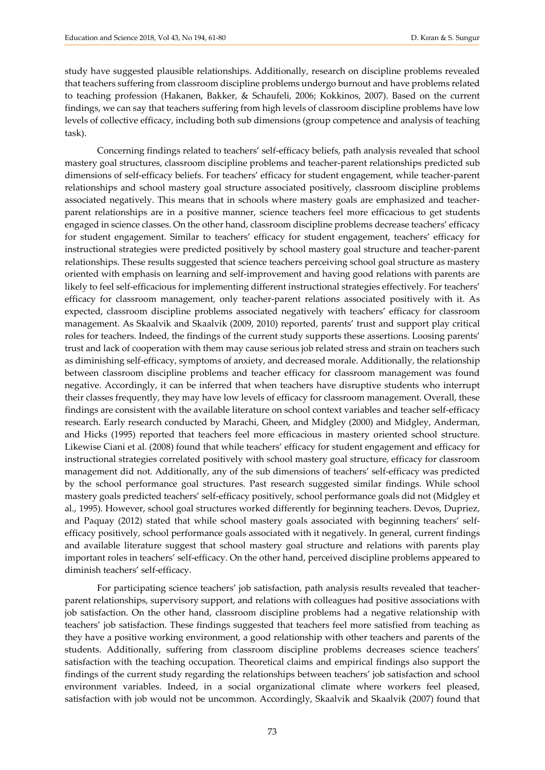study have suggested plausible relationships. Additionally, research on discipline problems revealed that teachers suffering from classroom discipline problems undergo burnout and have problems related to teaching profession (Hakanen, Bakker, & Schaufeli, 2006; Kokkinos, 2007). Based on the current findings, we can say that teachers suffering from high levels of classroom discipline problems have low levels of collective efficacy, including both sub dimensions (group competence and analysis of teaching task).

Concerning findings related to teachers' self-efficacy beliefs, path analysis revealed that school mastery goal structures, classroom discipline problems and teacher-parent relationships predicted sub dimensions of self-efficacy beliefs. For teachers' efficacy for student engagement, while teacher-parent relationships and school mastery goal structure associated positively, classroom discipline problems associated negatively. This means that in schools where mastery goals are emphasized and teacherparent relationships are in a positive manner, science teachers feel more efficacious to get students engaged in science classes. On the other hand, classroom discipline problems decrease teachers' efficacy for student engagement. Similar to teachers' efficacy for student engagement, teachers' efficacy for instructional strategies were predicted positively by school mastery goal structure and teacher-parent relationships. These results suggested that science teachers perceiving school goal structure as mastery oriented with emphasis on learning and self-improvement and having good relations with parents are likely to feel self-efficacious for implementing different instructional strategies effectively. For teachers' efficacy for classroom management, only teacher-parent relations associated positively with it. As expected, classroom discipline problems associated negatively with teachers' efficacy for classroom management. As Skaalvik and Skaalvik (2009, 2010) reported, parents' trust and support play critical roles for teachers. Indeed, the findings of the current study supports these assertions. Loosing parents' trust and lack of cooperation with them may cause serious job related stress and strain on teachers such as diminishing self-efficacy, symptoms of anxiety, and decreased morale. Additionally, the relationship between classroom discipline problems and teacher efficacy for classroom management was found negative. Accordingly, it can be inferred that when teachers have disruptive students who interrupt their classes frequently, they may have low levels of efficacy for classroom management. Overall, these findings are consistent with the available literature on school context variables and teacher self-efficacy research. Early research conducted by Marachi, Gheen, and Midgley (2000) and Midgley, Anderman, and Hicks (1995) reported that teachers feel more efficacious in mastery oriented school structure. Likewise Ciani et al. (2008) found that while teachers' efficacy for student engagement and efficacy for instructional strategies correlated positively with school mastery goal structure, efficacy for classroom management did not. Additionally, any of the sub dimensions of teachers' self-efficacy was predicted by the school performance goal structures. Past research suggested similar findings. While school mastery goals predicted teachers' self-efficacy positively, school performance goals did not (Midgley et al., 1995). However, school goal structures worked differently for beginning teachers. Devos, Dupriez, and Paquay (2012) stated that while school mastery goals associated with beginning teachers' selfefficacy positively, school performance goals associated with it negatively. In general, current findings and available literature suggest that school mastery goal structure and relations with parents play important roles in teachers' self-efficacy. On the other hand, perceived discipline problems appeared to diminish teachers' self-efficacy.

For participating science teachers' job satisfaction, path analysis results revealed that teacherparent relationships, supervisory support, and relations with colleagues had positive associations with job satisfaction. On the other hand, classroom discipline problems had a negative relationship with teachers' job satisfaction. These findings suggested that teachers feel more satisfied from teaching as they have a positive working environment, a good relationship with other teachers and parents of the students. Additionally, suffering from classroom discipline problems decreases science teachers' satisfaction with the teaching occupation. Theoretical claims and empirical findings also support the findings of the current study regarding the relationships between teachers' job satisfaction and school environment variables. Indeed, in a social organizational climate where workers feel pleased, satisfaction with job would not be uncommon. Accordingly, Skaalvik and Skaalvik (2007) found that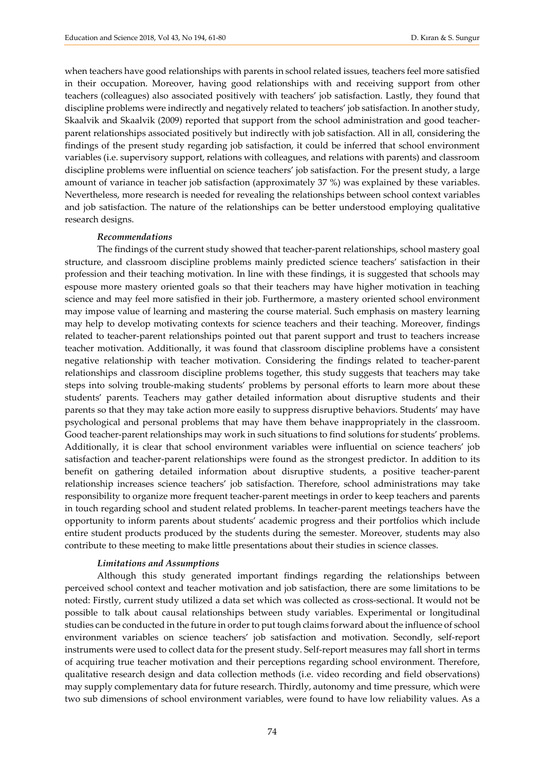when teachers have good relationships with parents in school related issues, teachers feel more satisfied in their occupation. Moreover, having good relationships with and receiving support from other teachers (colleagues) also associated positively with teachers' job satisfaction. Lastly, they found that discipline problems were indirectly and negatively related to teachers' job satisfaction. In another study, Skaalvik and Skaalvik (2009) reported that support from the school administration and good teacherparent relationships associated positively but indirectly with job satisfaction. All in all, considering the findings of the present study regarding job satisfaction, it could be inferred that school environment variables (i.e. supervisory support, relations with colleagues, and relations with parents) and classroom discipline problems were influential on science teachers' job satisfaction. For the present study, a large amount of variance in teacher job satisfaction (approximately 37 %) was explained by these variables. Nevertheless, more research is needed for revealing the relationships between school context variables and job satisfaction. The nature of the relationships can be better understood employing qualitative research designs.

## *Recommendations*

The findings of the current study showed that teacher-parent relationships, school mastery goal structure, and classroom discipline problems mainly predicted science teachers' satisfaction in their profession and their teaching motivation. In line with these findings, it is suggested that schools may espouse more mastery oriented goals so that their teachers may have higher motivation in teaching science and may feel more satisfied in their job. Furthermore, a mastery oriented school environment may impose value of learning and mastering the course material. Such emphasis on mastery learning may help to develop motivating contexts for science teachers and their teaching. Moreover, findings related to teacher-parent relationships pointed out that parent support and trust to teachers increase teacher motivation. Additionally, it was found that classroom discipline problems have a consistent negative relationship with teacher motivation. Considering the findings related to teacher-parent relationships and classroom discipline problems together, this study suggests that teachers may take steps into solving trouble-making students' problems by personal efforts to learn more about these students' parents. Teachers may gather detailed information about disruptive students and their parents so that they may take action more easily to suppress disruptive behaviors. Students' may have psychological and personal problems that may have them behave inappropriately in the classroom. Good teacher-parent relationships may work in such situations to find solutions for students' problems. Additionally, it is clear that school environment variables were influential on science teachers' job satisfaction and teacher-parent relationships were found as the strongest predictor. In addition to its benefit on gathering detailed information about disruptive students, a positive teacher-parent relationship increases science teachers' job satisfaction. Therefore, school administrations may take responsibility to organize more frequent teacher-parent meetings in order to keep teachers and parents in touch regarding school and student related problems. In teacher-parent meetings teachers have the opportunity to inform parents about students' academic progress and their portfolios which include entire student products produced by the students during the semester. Moreover, students may also contribute to these meeting to make little presentations about their studies in science classes.

## *Limitations and Assumptions*

Although this study generated important findings regarding the relationships between perceived school context and teacher motivation and job satisfaction, there are some limitations to be noted: Firstly, current study utilized a data set which was collected as cross-sectional. It would not be possible to talk about causal relationships between study variables. Experimental or longitudinal studies can be conducted in the future in order to put tough claims forward about the influence of school environment variables on science teachers' job satisfaction and motivation. Secondly, self-report instruments were used to collect data for the present study. Self-report measures may fall short in terms of acquiring true teacher motivation and their perceptions regarding school environment. Therefore, qualitative research design and data collection methods (i.e. video recording and field observations) may supply complementary data for future research. Thirdly, autonomy and time pressure, which were two sub dimensions of school environment variables, were found to have low reliability values. As a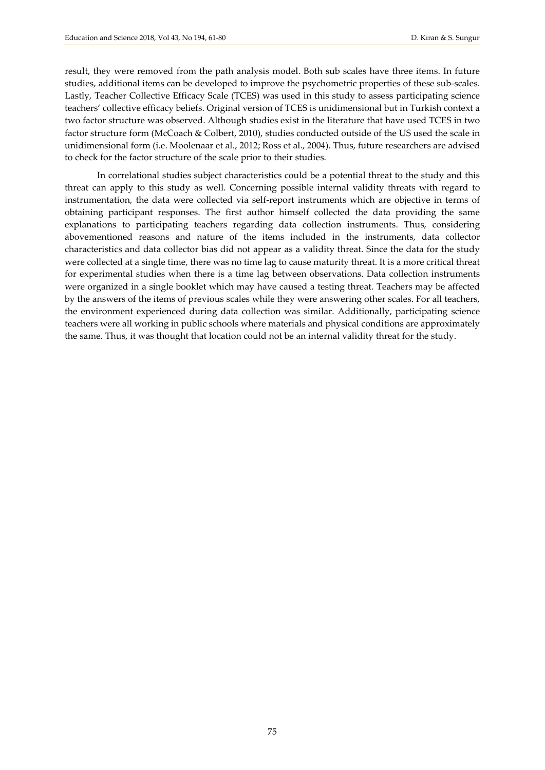result, they were removed from the path analysis model. Both sub scales have three items. In future studies, additional items can be developed to improve the psychometric properties of these sub-scales. Lastly, Teacher Collective Efficacy Scale (TCES) was used in this study to assess participating science teachers' collective efficacy beliefs. Original version of TCES is unidimensional but in Turkish context a two factor structure was observed. Although studies exist in the literature that have used TCES in two factor structure form (McCoach & Colbert, 2010), studies conducted outside of the US used the scale in unidimensional form (i.e. Moolenaar et al., 2012; Ross et al., 2004). Thus, future researchers are advised to check for the factor structure of the scale prior to their studies.

In correlational studies subject characteristics could be a potential threat to the study and this threat can apply to this study as well. Concerning possible internal validity threats with regard to instrumentation, the data were collected via self-report instruments which are objective in terms of obtaining participant responses. The first author himself collected the data providing the same explanations to participating teachers regarding data collection instruments. Thus, considering abovementioned reasons and nature of the items included in the instruments, data collector characteristics and data collector bias did not appear as a validity threat. Since the data for the study were collected at a single time, there was no time lag to cause maturity threat. It is a more critical threat for experimental studies when there is a time lag between observations. Data collection instruments were organized in a single booklet which may have caused a testing threat. Teachers may be affected by the answers of the items of previous scales while they were answering other scales. For all teachers, the environment experienced during data collection was similar. Additionally, participating science teachers were all working in public schools where materials and physical conditions are approximately the same. Thus, it was thought that location could not be an internal validity threat for the study.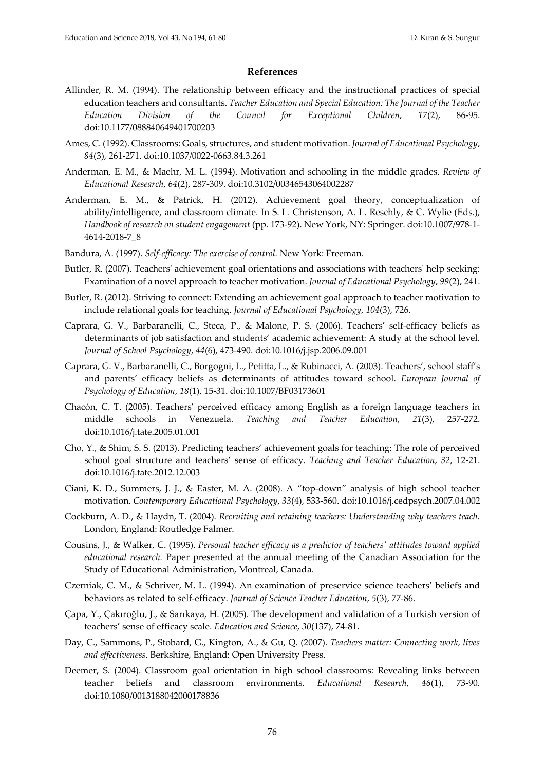## **References**

- Allinder, R. M. (1994). The relationship between efficacy and the instructional practices of special education teachers and consultants. *Teacher Education and Special Education: The Journal of the Teacher Education Division of the Council for Exceptional Children*, *17*(2), 86-95. doi:10.1177/088840649401700203
- Ames, C. (1992). Classrooms: Goals, structures, and student motivation. *Journal of Educational Psychology*, *84*(3), 261-271. [doi:10.1037/0022-0663.84.3.261](http://doi.org/10.1037/0022-0663.84.3.261)
- Anderman, E. M., & Maehr, M. L. (1994). Motivation and schooling in the middle grades. *Review of Educational Research*, *64*(2), 287-309. [doi:10.3102/00346543064002287](http://doi.org/10.3102/00346543064002287)
- Anderman, E. M., & Patrick, H. (2012). Achievement goal theory, conceptualization of ability/intelligence, and classroom climate. In S. L. Christenson, A. L. Reschly, & C. Wylie (Eds.), *Handbook of research on student engagement* (pp. 173-92). New York, NY: Springer. doi:10.1007/978-1- 4614-2018-7\_8
- Bandura, A. (1997). *Self-efficacy: The exercise of control.* New York: Freeman.
- Butler, R. (2007). Teachers' achievement goal orientations and associations with teachers' help seeking: Examination of a novel approach to teacher motivation. *Journal of Educational Psychology*, *99*(2), 241.
- Butler, R. (2012). Striving to connect: Extending an achievement goal approach to teacher motivation to include relational goals for teaching. *Journal of Educational Psychology*, *104*(3), 726.
- Caprara, G. V., Barbaranelli, C., Steca, P., & Malone, P. S. (2006). Teachers' self-efficacy beliefs as determinants of job satisfaction and students' academic achievement: A study at the school level. *Journal of School Psychology*, *44*(6), 473-490. doi:10.1016/j.jsp.2006.09.001
- Caprara, G. V., Barbaranelli, C., Borgogni, L., Petitta, L., & Rubinacci, A. (2003). Teachers', school staff's and parents' efficacy beliefs as determinants of attitudes toward school. *European Journal of Psychology of Education*, *18*(1), 15-31. doi:10.1007/BF03173601
- Chacón, C. T. (2005). Teachers' perceived efficacy among English as a foreign language teachers in middle schools in Venezuela. *Teaching and Teacher Education*, *21*(3), 257-272. doi:10.1016/j.tate.2005.01.001
- Cho, Y., & Shim, S. S. (2013). Predicting teachers' achievement goals for teaching: The role of perceived school goal structure and teachers' sense of efficacy. *Teaching and Teacher Education*, *32*, 12-21. [doi:10.1016/j.tate.2012.12.003](http://doi.org/10.1016/j.tate.2012.12.003)
- Ciani, K. D., Summers, J. J., & Easter, M. A. (2008). A "top-down" analysis of high school teacher motivation. *Contemporary Educational Psychology*, *33*(4), 533-560. doi:10.1016/j.cedpsych.2007.04.002
- Cockburn, A. D., & Haydn, T. (2004). *Recruiting and retaining teachers: Understanding why teachers teach.* London, England: Routledge Falmer.
- Cousins, J., & Walker, C. (1995). *Personal teacher efficacy as a predictor of teachers' attitudes toward applied educational research.* Paper presented at the annual meeting of the Canadian Association for the Study of Educational Administration, Montreal, Canada.
- Czerniak, C. M., & Schriver, M. L. (1994). An examination of preservice science teachers' beliefs and behaviors as related to self-efficacy. *Journal of Science Teacher Education*, *5*(3), 77-86.
- Çapa, Y., Çakıroğlu, J., & Sarıkaya, H. (2005). The development and validation of a Turkish version of teachers' sense of efficacy scale. *Education and Science*, *30*(137), 74-81.
- Day, C., Sammons, P., Stobard, G., Kington, A., & Gu, Q. (2007). *Teachers matter: Connecting work, lives and effectiveness*. Berkshire, England: Open University Press.
- Deemer, S. (2004). Classroom goal orientation in high school classrooms: Revealing links between teacher beliefs and classroom environments. *Educational Research*, *46*(1), 73-90. doi:10.1080/0013188042000178836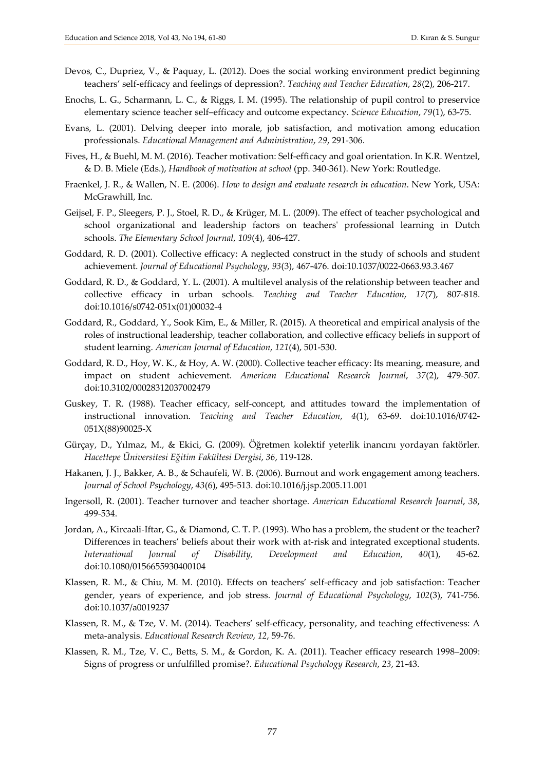- Devos, C., Dupriez, V., & Paquay, L. (2012). Does the social working environment predict beginning teachers' self-efficacy and feelings of depression?. *Teaching and Teacher Education*, *28*(2), 206-217.
- Enochs, L. G., Scharmann, L. C., & Riggs, I. M. (1995). The relationship of pupil control to preservice elementary science teacher self–efficacy and outcome expectancy. *Science Education*, *79*(1), 63-75.
- Evans, L. (2001). Delving deeper into morale, job satisfaction, and motivation among education professionals. *Educational Management and Administration*, *29*, 291-306.
- Fives, H., & Buehl, M. M. (2016). Teacher motivation: Self-efficacy and goal orientation. In K.R. Wentzel, & D. B. Miele (Eds.), *Handbook of motivation at school* (pp. 340-361). New York: Routledge.
- Fraenkel, J. R., & Wallen, N. E. (2006). *How to design and evaluate research in education*. New York, USA: McGrawhill, Inc.
- Geijsel, F. P., Sleegers, P. J., Stoel, R. D., & Krüger, M. L. (2009). The effect of teacher psychological and school organizational and leadership factors on teachers' professional learning in Dutch schools. *The Elementary School Journal*, *109*(4), 406-427.
- Goddard, R. D. (2001). Collective efficacy: A neglected construct in the study of schools and student achievement. *Journal of Educational Psychology*, *93*(3), 467-476. [doi:10.1037/0022-0663.93.3.467](http://doi.org/10.1037/0022-0663.93.3.467)
- Goddard, R. D., & Goddard, Y. L. (2001). A multilevel analysis of the relationship between teacher and collective efficacy in urban schools. *Teaching and Teacher Education*, *17*(7), 807-818. doi:10.1016/s0742-051x(01)00032-4
- Goddard, R., Goddard, Y., Sook Kim, E., & Miller, R. (2015). A theoretical and empirical analysis of the roles of instructional leadership, teacher collaboration, and collective efficacy beliefs in support of student learning. *American Journal of Education*, *121*(4), 501-530.
- Goddard, R. D., Hoy, W. K., & Hoy, A. W. (2000). Collective teacher efficacy: Its meaning, measure, and impact on student achievement. *American Educational Research Journal*, *37*(2), 479-507. [doi:10.3102/00028312037002479](http://doi.org/10.3102/00028312037002479)
- Guskey, T. R. (1988). Teacher efficacy, self-concept, and attitudes toward the implementation of instructional innovation. *Teaching and Teacher Education*, *4*(1), 63-69. doi:10.1016/0742- 051X(88)90025-X
- Gürçay, D., Yılmaz, M., & Ekici, G. (2009). Öğretmen kolektif yeterlik inancını yordayan faktörler. *Hacettepe Üniversitesi Eğitim Fakültesi Dergisi*, *36*, 119-128.
- Hakanen, J. J., Bakker, A. B., & Schaufeli, W. B. (2006). Burnout and work engagement among teachers. *Journal of School Psychology*, *43*(6), 495-513. doi:10.1016/j.jsp.2005.11.001
- Ingersoll, R. (2001). Teacher turnover and teacher shortage. *American Educational Research Journal*, *38*, 499-534.
- Jordan, A., Kircaali-Iftar, G., & Diamond, C. T. P. (1993). Who has a problem, the student or the teacher? Differences in teachers' beliefs about their work with at-risk and integrated exceptional students. *International Journal of Disability, Development and Education*, *40*(1), 45-62. [doi:10.1080/0156655930400104](http://doi.org/10.1080/0156655930400104)
- Klassen, R. M., & Chiu, M. M. (2010). Effects on teachers' self-efficacy and job satisfaction: Teacher gender, years of experience, and job stress. *Journal of Educational Psychology*, *102*(3), 741-756. doi:10.1037/a0019237
- Klassen, R. M., & Tze, V. M. (2014). Teachers' self-efficacy, personality, and teaching effectiveness: A meta-analysis. *Educational Research Review*, *12*, 59-76.
- Klassen, R. M., Tze, V. C., Betts, S. M., & Gordon, K. A. (2011). Teacher efficacy research 1998–2009: Signs of progress or unfulfilled promise?. *Educational Psychology Research*, *23*, 21-43.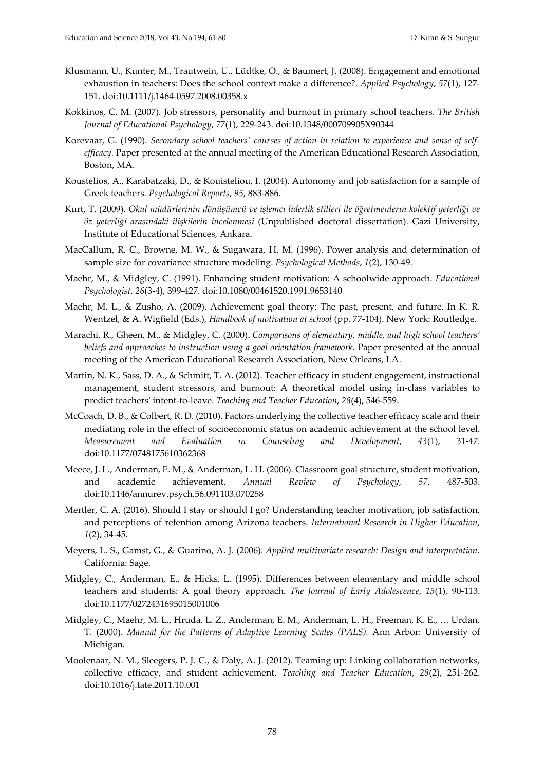- Klusmann, U., Kunter, M., Trautwein, U., Lüdtke, O., & Baumert, J. (2008). Engagement and emotional exhaustion in teachers: Does the school context make a difference?. *Applied Psychology*, *57*(1), 127- 151. [doi:10.1111/j.1464-0597.2008.00358.x](http://doi.org/10.1111/j.1464-0597.2008.00358.x)
- Kokkinos, C. M. (2007). Job stressors, personality and burnout in primary school teachers. *The British Journal of Educational Psychology*, *77*(1), 229-243. [doi:10.1348/000709905X90344](http://doi.org/10.1348/000709905X90344)
- Korevaar, G. (1990). *Secondary school teachers' courses of action in relation to experience and sense of selfefficacy.* Paper presented at the annual meeting of the American Educational Research Association, Boston, MA.
- Koustelios, A., Karabatzaki, D., & Kouisteliou, I. (2004). Autonomy and job satisfaction for a sample of Greek teachers. *Psychological Reports*, *95*, 883-886.
- Kurt, T. (2009). *Okul müdürlerinin dönüşümcü ve işlemci liderlik stilleri ile öğretmenlerin kolektif yeterliği ve öz yeterliği arasındaki ilişkilerin incelenmesi* (Unpublished doctoral dissertation). Gazi University, Institute of Educational Sciences, Ankara.
- MacCallum, R. C., Browne, M. W., & Sugawara, H. M. (1996). Power analysis and determination of sample size for covariance structure modeling. *Psychological Methods*, *1*(2), 130-49.
- Maehr, M., & Midgley, C. (1991). Enhancing student motivation: A schoolwide approach. *Educational Psychologist*, *26*(3-4), 399-427. doi:10.1080/00461520.1991.9653140
- Maehr, M. L., & Zusho, A. (2009). Achievement goal theory: The past, present, and future. In K. R. Wentzel, & A. Wigfield (Eds.), *Handbook of motivation at school* (pp. 77-104). New York: Routledge.
- Marachi, R., Gheen, M., & Midgley, C. (2000). *Comparisons of elementary, middle, and high school teachers' beliefs and approaches to instruction using a goal orientation framework.* Paper presented at the annual meeting of the American Educational Research Association, New Orleans, LA.
- Martin, N. K., Sass, D. A., & Schmitt, T. A. (2012). Teacher efficacy in student engagement, instructional management, student stressors, and burnout: A theoretical model using in-class variables to predict teachers' intent-to-leave. *Teaching and Teacher Education*, *28*(4), 546-559.
- McCoach, D. B., & Colbert, R. D. (2010). Factors underlying the collective teacher efficacy scale and their mediating role in the effect of socioeconomic status on academic achievement at the school level. *Measurement and Evaluation in Counseling and Development*, *43*(1), 31-47. doi:10.1177/0748175610362368
- Meece, J. L., Anderman, E. M., & Anderman, L. H. (2006). Classroom goal structure, student motivation, and academic achievement. *Annual Review of Psychology*, *57*, 487-503. doi:10.1146/annurev.psych.56.091103.070258
- Mertler, C. A. (2016). Should I stay or should I go? Understanding teacher motivation, job satisfaction, and perceptions of retention among Arizona teachers. *International Research in Higher Education*, *1*(2), 34-45.
- Meyers, L. S., Gamst, G., & Guarino, A. J. (2006). *Applied multivariate research: Design and interpretation*. California: Sage.
- Midgley, C., Anderman, E., & Hicks, L. (1995). Differences between elementary and middle school teachers and students: A goal theory approach. *The Journal of Early Adolescence*, *15*(1), 90-113. [doi:10.1177/0272431695015001006](http://doi.org/10.1177/0272431695015001006)
- Midgley, C., Maehr, M. L., Hruda, L. Z., Anderman, E. M., Anderman, L. H., Freeman, K. E., … Urdan, T. (2000). *Manual for the Patterns of Adaptive Learning Scales (PALS).* Ann Arbor: University of Michigan.
- Moolenaar, N. M., Sleegers, P. J. C., & Daly, A. J. (2012). Teaming up: Linking collaboration networks, collective efficacy, and student achievement. *Teaching and Teacher Education*, *28*(2), 251-262. [doi:10.1016/j.tate.2011.10.001](http://doi.org/10.1016/j.tate.2011.10.001)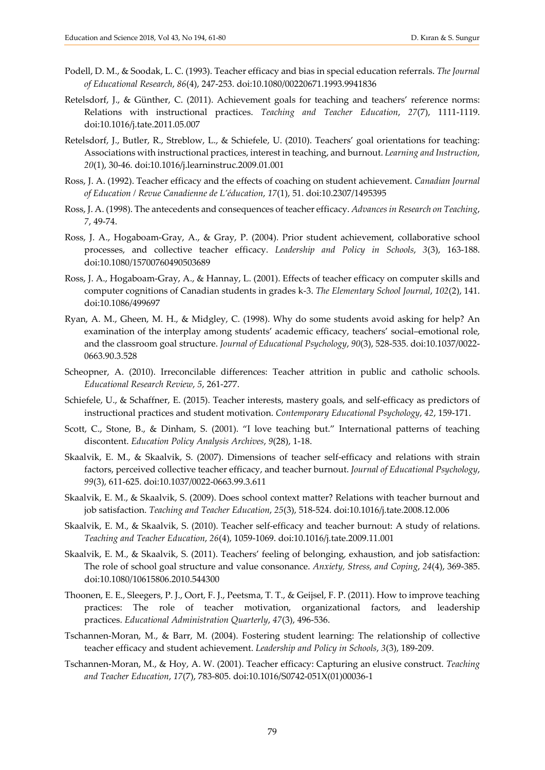- Podell, D. M., & Soodak, L. C. (1993). Teacher efficacy and bias in special education referrals. *The Journal of Educational Research*, *86*(4), 247-253. doi:10.1080/00220671.1993.9941836
- Retelsdorf, J., & Günther, C. (2011). Achievement goals for teaching and teachers' reference norms: Relations with instructional practices. *Teaching and Teacher Education*, *27*(7), 1111-1119. [doi:10.1016/j.tate.2011.05.007](http://doi.org/10.1016/j.tate.2011.05.007)
- Retelsdorf, J., Butler, R., Streblow, L., & Schiefele, U. (2010). Teachers' goal orientations for teaching: Associations with instructional practices, interest in teaching, and burnout. *Learning and Instruction*, *20*(1), 30-46. doi:10.1016/j.learninstruc.2009.01.001
- Ross, J. A. (1992). Teacher efficacy and the effects of coaching on student achievement. *Canadian Journal of Education / Revue Canadienne de L'éducation*, *17*(1), 51. [doi:10.2307/1495395](http://doi.org/10.2307/1495395)
- Ross, J. A. (1998). The antecedents and consequences of teacher efficacy. *Advances in Research on Teaching*, *7*, 49-74.
- Ross, J. A., Hogaboam-Gray, A., & Gray, P. (2004). Prior student achievement, collaborative school processes, and collective teacher efficacy. *Leadership and Policy in Schools*, *3*(3), 163-188. [doi:10.1080/15700760490503689](http://doi.org/10.1080/15700760490503689)
- Ross, J. A., Hogaboam-Gray, A., & Hannay, L. (2001). Effects of teacher efficacy on computer skills and computer cognitions of Canadian students in grades k-3. *The Elementary School Journal*, *102*(2), 141. doi:10.1086/499697
- Ryan, A. M., Gheen, M. H., & Midgley, C. (1998). Why do some students avoid asking for help? An examination of the interplay among students' academic efficacy, teachers' social–emotional role, and the classroom goal structure. *Journal of Educational Psychology*, *90*(3), 528-535. doi:10.1037/0022- 0663.90.3.528
- Scheopner, A. (2010). Irreconcilable differences: Teacher attrition in public and catholic schools. *Educational Research Review*, *5*, 261-277.
- Schiefele, U., & Schaffner, E. (2015). Teacher interests, mastery goals, and self-efficacy as predictors of instructional practices and student motivation. *Contemporary Educational Psychology*, *42*, 159-171.
- Scott, C., Stone, B., & Dinham, S. (2001). "I love teaching but." International patterns of teaching discontent. *Education Policy Analysis Archives*, *9*(28), 1-18.
- Skaalvik, E. M., & Skaalvik, S. (2007). Dimensions of teacher self-efficacy and relations with strain factors, perceived collective teacher efficacy, and teacher burnout. *Journal of Educational Psychology*, *99*(3), 611-625. [doi:10.1037/0022-0663.99.3.611](http://doi.org/10.1037/0022-0663.99.3.611)
- Skaalvik, E. M., & Skaalvik, S. (2009). Does school context matter? Relations with teacher burnout and job satisfaction. *Teaching and Teacher Education*, *25*(3), 518-524. doi:10.1016/j.tate.2008.12.006
- Skaalvik, E. M., & Skaalvik, S. (2010). Teacher self-efficacy and teacher burnout: A study of relations. *Teaching and Teacher Education*, *26*(4), 1059-1069. doi:10.1016/j.tate.2009.11.001
- Skaalvik, E. M., & Skaalvik, S. (2011). Teachers' feeling of belonging, exhaustion, and job satisfaction: The role of school goal structure and value consonance. *Anxiety, Stress, and Coping*, *24*(4), 369-385. doi:10.1080/10615806.2010.544300
- Thoonen, E. E., Sleegers, P. J., Oort, F. J., Peetsma, T. T., & Geijsel, F. P. (2011). How to improve teaching practices: The role of teacher motivation, organizational factors, and leadership practices. *Educational Administration Quarterly*, *47*(3), 496-536.
- Tschannen-Moran, M., & Barr, M. (2004). Fostering student learning: The relationship of collective teacher efficacy and student achievement. *Leadership and Policy in Schools*, *3*(3), 189-209.
- Tschannen-Moran, M., & Hoy, A. W. (2001). Teacher efficacy: Capturing an elusive construct. *Teaching and Teacher Education*, *17*(7), 783-805[. doi:10.1016/S0742-051X\(01\)00036-1](http://doi.org/10.1016/S0742-051X(01)00036-1)